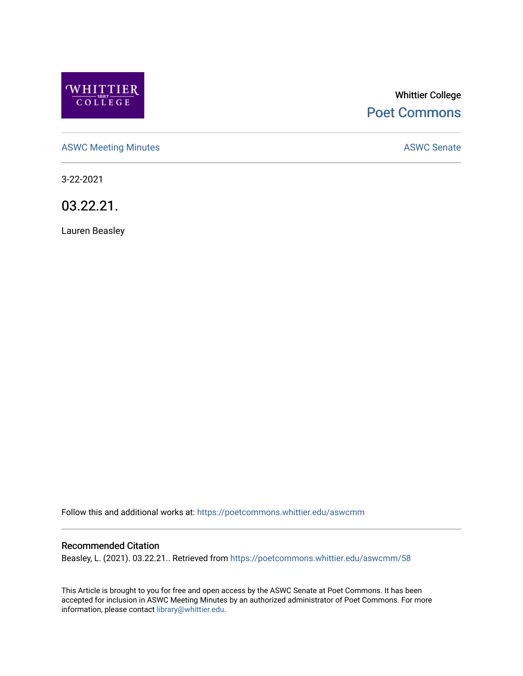

# Whittier College [Poet Commons](https://poetcommons.whittier.edu/)

[ASWC Meeting Minutes](https://poetcommons.whittier.edu/aswcmm) **ASWC Senate** 

3-22-2021

03.22.21.

Lauren Beasley

Follow this and additional works at: [https://poetcommons.whittier.edu/aswcmm](https://poetcommons.whittier.edu/aswcmm?utm_source=poetcommons.whittier.edu%2Faswcmm%2F58&utm_medium=PDF&utm_campaign=PDFCoverPages)

#### Recommended Citation

Beasley, L. (2021). 03.22.21.. Retrieved from [https://poetcommons.whittier.edu/aswcmm/58](https://poetcommons.whittier.edu/aswcmm/58?utm_source=poetcommons.whittier.edu%2Faswcmm%2F58&utm_medium=PDF&utm_campaign=PDFCoverPages)

This Article is brought to you for free and open access by the ASWC Senate at Poet Commons. It has been accepted for inclusion in ASWC Meeting Minutes by an authorized administrator of Poet Commons. For more information, please contact [library@whittier.edu.](mailto:library@whittier.edu)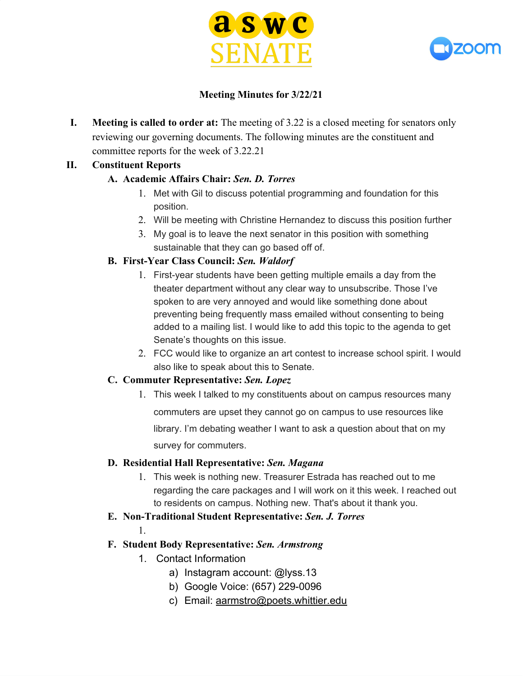



### **Meeting Minutes for 3/22/21**

**I. Meeting is called to order at:** The meeting of 3.22 is a closed meeting for senators only reviewing our governing documents. The following minutes are the constituent and committee reports for the week of 3.22.21

### **II. Constituent Reports**

### **A. Academic Affairs Chair:** *Sen. D. Torres*

- 1. Met with Gil to discuss potential programming and foundation for this position.
- 2. Will be meeting with Christine Hernandez to discuss this position further
- 3. My goal is to leave the next senator in this position with something sustainable that they can go based off of.

### **B. First-Year Class Council:** *Sen. Waldorf*

- 1. First-year students have been getting multiple emails a day from the theater department without any clear way to unsubscribe. Those I've spoken to are very annoyed and would like something done about preventing being frequently mass emailed without consenting to being added to a mailing list. I would like to add this topic to the agenda to get Senate's thoughts on this issue.
- 2. FCC would like to organize an art contest to increase school spirit. I would also like to speak about this to Senate.

#### **C. Commuter Representative:** *Sen. Lopez*

1. This week I talked to my constituents about on campus resources many commuters are upset they cannot go on campus to use resources like library. I'm debating weather I want to ask a question about that on my survey for commuters.

# **D. Residential Hall Representative:** *Sen. Magana*

- 1. This week is nothing new. Treasurer Estrada has reached out to me regarding the care packages and I will work on it this week. I reached out to residents on campus. Nothing new. That's about it thank you.
- **E. Non-Traditional Student Representative:** *Sen. J. Torres*

1.

# **F. Student Body Representative:** *Sen. Armstrong*

- 1. Contact Information
	- a) Instagram account: @lyss.13
	- b) Google Voice: (657) 229-0096
	- c) Email: [aarmstro@poets.whittier.edu](mailto:aarmstro@poets.whittier.edu)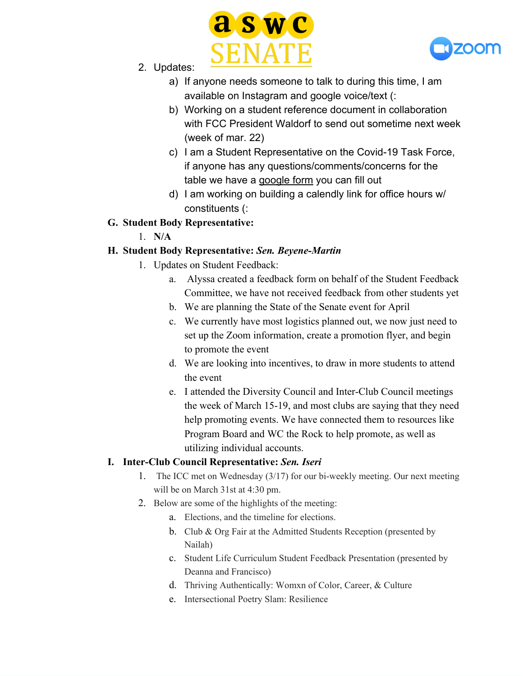



- 2. Updates:
	- a) If anyone needs someone to talk to during this time, I am available on Instagram and google voice/text (:
	- b) Working on a student reference document in collaboration with FCC President Waldorf to send out sometime next week (week of mar. 22)
	- c) I am a Student Representative on the Covid-19 Task Force, if anyone has any questions/comments/concerns for the table we have a [google form](https://forms.gle/wrqCAvCCSyX9RSt97) you can fill out
	- d) I am working on building a calendly link for office hours w/ constituents (:
- **G. Student Body Representative:**
	- 1. **N/A**

# **H. Student Body Representative:** *Sen. Beyene-Martin*

- 1. Updates on Student Feedback:
	- a. Alyssa created a feedback form on behalf of the Student Feedback Committee, we have not received feedback from other students yet
	- b. We are planning the State of the Senate event for April
	- c. We currently have most logistics planned out, we now just need to set up the Zoom information, create a promotion flyer, and begin to promote the event
	- d. We are looking into incentives, to draw in more students to attend the event
	- e. I attended the Diversity Council and Inter-Club Council meetings the week of March 15-19, and most clubs are saying that they need help promoting events. We have connected them to resources like Program Board and WC the Rock to help promote, as well as utilizing individual accounts.

# **I. Inter-Club Council Representative:** *Sen. Iseri*

- 1. The ICC met on Wednesday (3/17) for our bi-weekly meeting. Our next meeting will be on March 31st at 4:30 pm.
- 2. Below are some of the highlights of the meeting:
	- a. Elections, and the timeline for elections.
	- b. Club & Org Fair at the Admitted Students Reception (presented by Nailah)
	- c. Student Life Curriculum Student Feedback Presentation (presented by Deanna and Francisco)
	- d. Thriving Authentically: Womxn of Color, Career, & Culture
	- e. Intersectional Poetry Slam: Resilience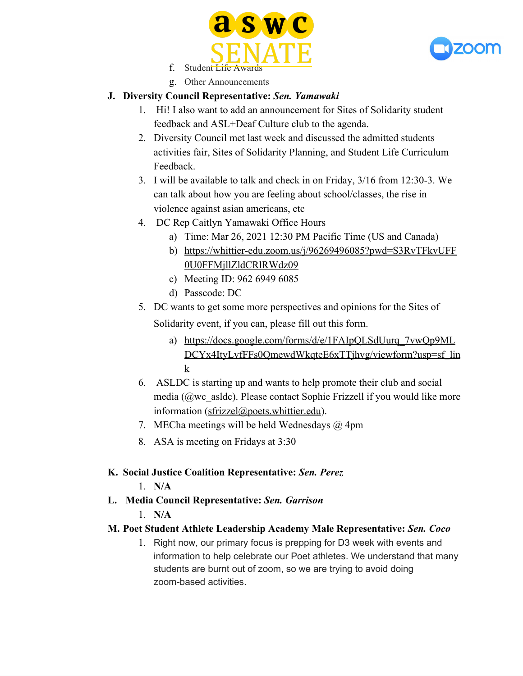



- f. Student Life Award
- g. Other Announcements

# **J. Diversity Council Representative:** *Sen. Yamawaki*

- 1. Hi! I also want to add an announcement for Sites of Solidarity student feedback and ASL+Deaf Culture club to the agenda.
- 2. Diversity Council met last week and discussed the admitted students activities fair, Sites of Solidarity Planning, and Student Life Curriculum Feedback.
- 3. I will be available to talk and check in on Friday, 3/16 from 12:30-3. We can talk about how you are feeling about school/classes, the rise in violence against asian americans, etc
- 4. DC Rep Caitlyn Yamawaki Office Hours
	- a) Time: Mar 26, 2021 12:30 PM Pacific Time (US and Canada)
	- b) [https://whittier-edu.zoom.us/j/96269496085?pwd=S3RvTFkvUFF](https://whittier-edu.zoom.us/j/96269496085?pwd=S3RvTFkvUFF0U0FFMjllZldCRlRWdz09) [0U0FFMjllZldCRlRWdz09](https://whittier-edu.zoom.us/j/96269496085?pwd=S3RvTFkvUFF0U0FFMjllZldCRlRWdz09)
	- c) Meeting ID: 962 6949 6085
	- d) Passcode: DC
- 5. DC wants to get some more perspectives and opinions for the Sites of Solidarity event, if you can, please fill out this form.
	- a) [https://docs.google.com/forms/d/e/1FAIpQLSdUurq\\_7vwQp9ML](https://docs.google.com/forms/d/e/1FAIpQLSdUurq_7vwQp9MLDCYx4ItyLvfFFs0QmewdWkqteE6xTTjhvg/viewform?usp=sf_link) [DCYx4ItyLvfFFs0QmewdWkqteE6xTTjhvg/viewform?usp=sf\\_lin](https://docs.google.com/forms/d/e/1FAIpQLSdUurq_7vwQp9MLDCYx4ItyLvfFFs0QmewdWkqteE6xTTjhvg/viewform?usp=sf_link) [k](https://docs.google.com/forms/d/e/1FAIpQLSdUurq_7vwQp9MLDCYx4ItyLvfFFs0QmewdWkqteE6xTTjhvg/viewform?usp=sf_link)
- 6. ASLDC is starting up and wants to help promote their club and social media (@wc\_asldc). Please contact Sophie Frizzell if you would like more information (sfrizzel@poets.whittier.edu).
- 7. MECha meetings will be held Wednesdays  $\omega$  4pm
- 8. ASA is meeting on Fridays at 3:30

# **K. Social Justice Coalition Representative:** *Sen. Perez*

1. **N/A**

# **L. Media Council Representative:** *Sen. Garrison*

1. **N/A**

# **M. Poet Student Athlete Leadership Academy Male Representative:** *Sen. Coco*

1. Right now, our primary focus is prepping for D3 week with events and information to help celebrate our Poet athletes. We understand that many students are burnt out of zoom, so we are trying to avoid doing zoom-based activities.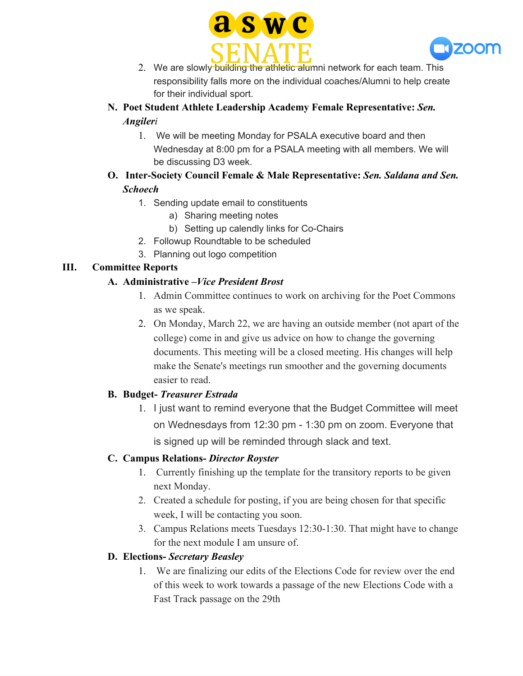



- 2. We are slowly building the athletic alumni network for each team. This responsibility falls more on the individual coaches/Alumni to help create for their individual sport.
- **N. Poet Student Athlete Leadership Academy Female Representative:** *Sen. Angileri*
	- 1. We will be meeting Monday for PSALA executive board and then Wednesday at 8:00 pm for a PSALA meeting with all members. We will be discussing D3 week.

# **O. Inter-Society Council Female & Male Representative:** *Sen. Saldana and Sen. Schoech*

- 1. Sending update email to constituents
	- a) Sharing meeting notes
	- b) Setting up calendly links for Co-Chairs
- 2. Followup Roundtable to be scheduled
- 3. Planning out logo competition

# **III. Committee Reports**

# **A. Administrative –***Vice President Brost*

- 1. Admin Committee continues to work on archiving for the Poet Commons as we speak.
- 2. On Monday, March 22, we are having an outside member (not apart of the college) come in and give us advice on how to change the governing documents. This meeting will be a closed meeting. His changes will help make the Senate's meetings run smoother and the governing documents easier to read.

# **B. Budget-** *Treasurer Estrada*

1. I just want to remind everyone that the Budget Committee will meet on Wednesdays from 12:30 pm - 1:30 pm on zoom. Everyone that is signed up will be reminded through slack and text.

# **C. Campus Relations-** *Director Royster*

- 1. Currently finishing up the template for the transitory reports to be given next Monday.
- 2. Created a schedule for posting, if you are being chosen for that specific week, I will be contacting you soon.
- 3. Campus Relations meets Tuesdays 12:30-1:30. That might have to change for the next module I am unsure of.

# **D. Elections-** *Secretary Beasley*

1. We are finalizing our edits of the Elections Code for review over the end of this week to work towards a passage of the new Elections Code with a Fast Track passage on the 29th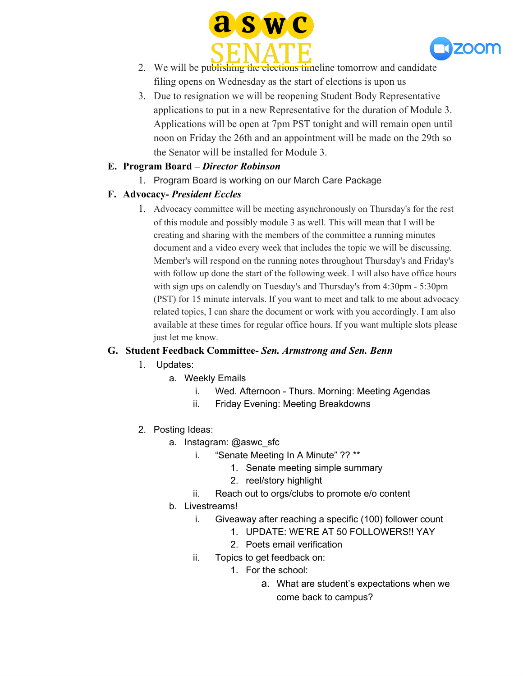



- 2. We will be publishing the elections timeline tomorrow and candidate filing opens on Wednesday as the start of elections is upon us
- 3. Due to resignation we will be reopening Student Body Representative applications to put in a new Representative for the duration of Module 3. Applications will be open at 7pm PST tonight and will remain open until noon on Friday the 26th and an appointment will be made on the 29th so the Senator will be installed for Module 3.

### **E. Program Board –** *Director Robinson*

1. Program Board is working on our March Care Package

### **F. Advocacy-** *President Eccles*

1. Advocacy committee will be meeting asynchronously on Thursday's for the rest of this module and possibly module 3 as well. This will mean that I will be creating and sharing with the members of the committee a running minutes document and a video every week that includes the topic we will be discussing. Member's will respond on the running notes throughout Thursday's and Friday's with follow up done the start of the following week. I will also have office hours with sign ups on calendly on Tuesday's and Thursday's from 4:30pm - 5:30pm (PST) for 15 minute intervals. If you want to meet and talk to me about advocacy related topics, I can share the document or work with you accordingly. I am also available at these times for regular office hours. If you want multiple slots please just let me know.

#### **G. Student Feedback Committee-** *Sen. Armstrong and Sen. Benn*

- 1. Updates:
	- a. Weekly Emails
		- i. Wed. Afternoon Thurs. Morning: Meeting Agendas
		- ii. Friday Evening: Meeting Breakdowns
- 2. Posting Ideas:
	- a. Instagram: @aswc\_sfc
		- i. "Senate Meeting In A Minute" ?? \*\*
			- 1. Senate meeting simple summary
			- 2. reel/story highlight
		- ii. Reach out to orgs/clubs to promote e/o content
	- b. Livestreams!
		- i. Giveaway after reaching a specific (100) follower count
			- 1. UPDATE: WE'RE AT 50 FOLLOWERS!! YAY
			- 2. Poets email verification
		- ii. Topics to get feedback on:
			- 1. For the school:
				- a. What are student's expectations when we come back to campus?